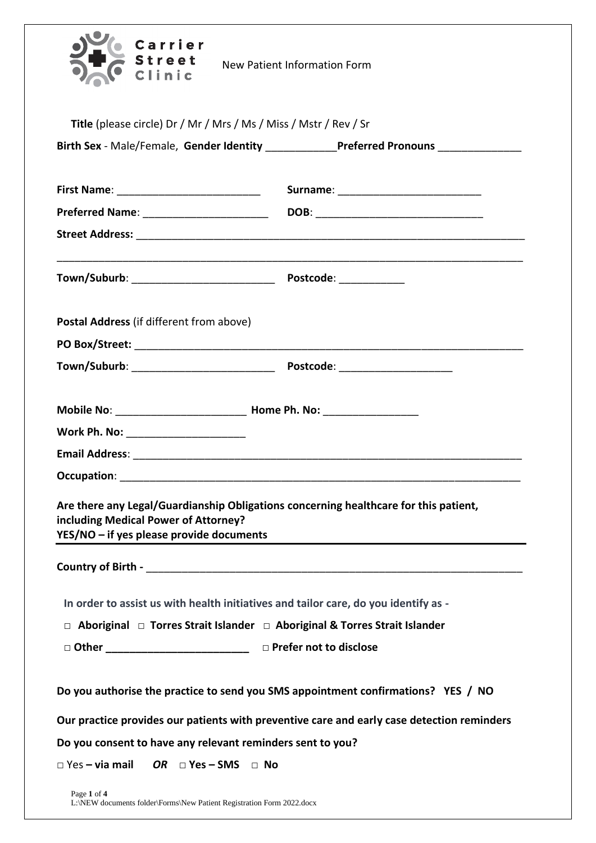| Carrier<br><b>Street</b>                                                                                                                                                 | <b>New Patient Information Form</b>                                                        |  |
|--------------------------------------------------------------------------------------------------------------------------------------------------------------------------|--------------------------------------------------------------------------------------------|--|
| Title (please circle) Dr / Mr / Mrs / Ms / Miss / Mstr / Rev / Sr                                                                                                        |                                                                                            |  |
|                                                                                                                                                                          | Birth Sex - Male/Female, Gender Identity _____________Preferred Pronouns ______________    |  |
|                                                                                                                                                                          |                                                                                            |  |
|                                                                                                                                                                          |                                                                                            |  |
|                                                                                                                                                                          |                                                                                            |  |
|                                                                                                                                                                          |                                                                                            |  |
|                                                                                                                                                                          |                                                                                            |  |
| Postal Address (if different from above)                                                                                                                                 |                                                                                            |  |
|                                                                                                                                                                          |                                                                                            |  |
|                                                                                                                                                                          |                                                                                            |  |
|                                                                                                                                                                          |                                                                                            |  |
| Work Ph. No: ________________________                                                                                                                                    |                                                                                            |  |
|                                                                                                                                                                          |                                                                                            |  |
| Occupation:                                                                                                                                                              |                                                                                            |  |
| Are there any Legal/Guardianship Obligations concerning healthcare for this patient,<br>including Medical Power of Attorney?<br>YES/NO - if yes please provide documents |                                                                                            |  |
|                                                                                                                                                                          |                                                                                            |  |
| In order to assist us with health initiatives and tailor care, do you identify as -                                                                                      |                                                                                            |  |
| □ Aboriginal □ Torres Strait Islander □ Aboriginal & Torres Strait Islander                                                                                              |                                                                                            |  |
|                                                                                                                                                                          |                                                                                            |  |
| Do you authorise the practice to send you SMS appointment confirmations? YES / NO                                                                                        |                                                                                            |  |
|                                                                                                                                                                          | Our practice provides our patients with preventive care and early case detection reminders |  |
| Do you consent to have any relevant reminders sent to you?                                                                                                               |                                                                                            |  |
| $\square$ Yes – via mail<br>OR $\Box$ Yes – SMS $\Box$ No                                                                                                                |                                                                                            |  |
| Page 1 of 4                                                                                                                                                              |                                                                                            |  |

L:\NEW documents folder\Forms\New Patient Registration Form 2022.docx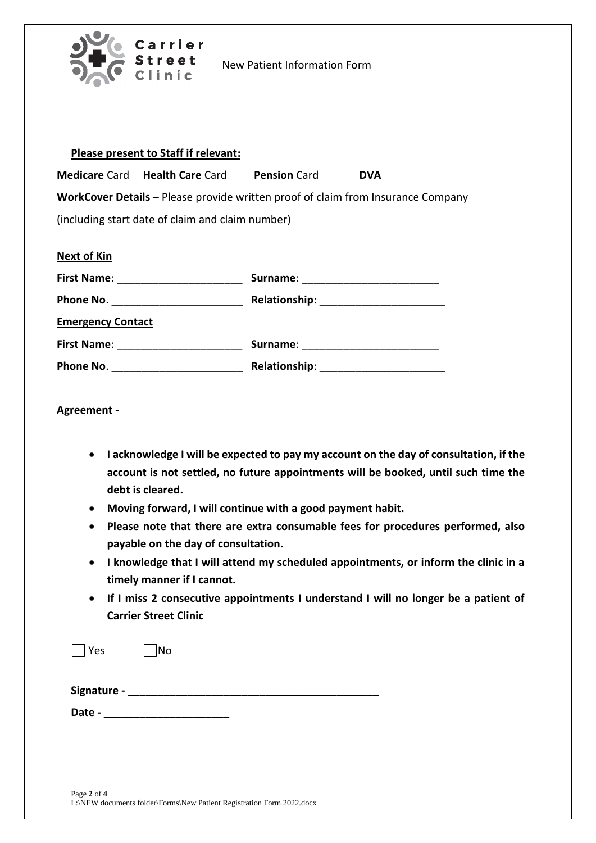

New Patient Information Form

| Please present to Staff if relevant: |
|--------------------------------------|
|--------------------------------------|

**Medicare** Card **Health Care** Card **Pension** Card **DVA**

**WorkCover Details –** Please provide written proof of claim from Insurance Company (including start date of claim and claim number)

| <b>Next of Kin</b>       |                                       |
|--------------------------|---------------------------------------|
|                          | Surname: ____________________________ |
|                          |                                       |
| <b>Emergency Contact</b> |                                       |
| <b>First Name:</b>       | Surname: ________________________     |
| Phone No.                |                                       |

**Agreement -**

- **I acknowledge I will be expected to pay my account on the day of consultation, if the account is not settled, no future appointments will be booked, until such time the debt is cleared.**
- **Moving forward, I will continue with a good payment habit.**
- **Please note that there are extra consumable fees for procedures performed, also payable on the day of consultation.**
- **I knowledge that I will attend my scheduled appointments, or inform the clinic in a timely manner if I cannot.**
- **If I miss 2 consecutive appointments I understand I will no longer be a patient of Carrier Street Clinic**

| Yes         | No |  |
|-------------|----|--|
| Signature - |    |  |
| Date -      |    |  |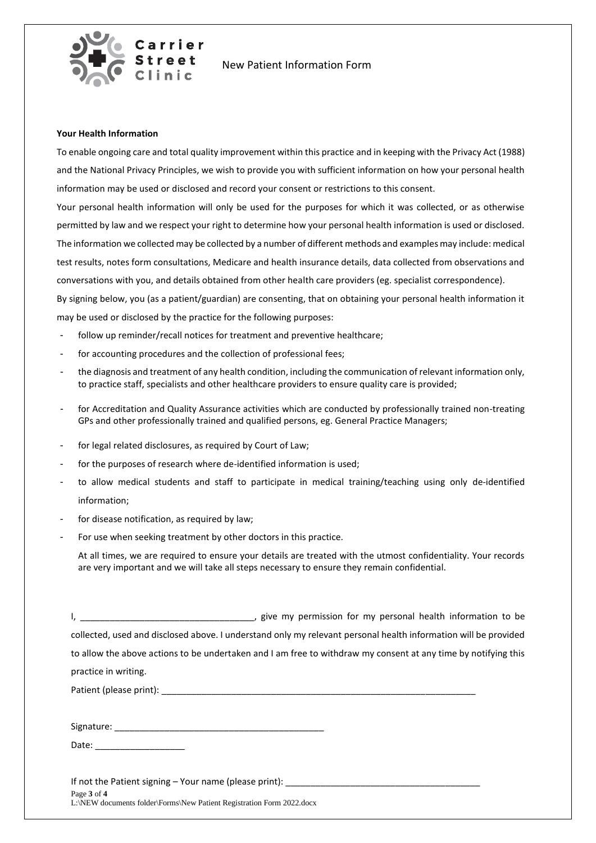

New Patient Information Form

## **Your Health Information**

To enable ongoing care and total quality improvement within this practice and in keeping with the Privacy Act (1988) and the National Privacy Principles, we wish to provide you with sufficient information on how your personal health information may be used or disclosed and record your consent or restrictions to this consent.

Your personal health information will only be used for the purposes for which it was collected, or as otherwise permitted by law and we respect your right to determine how your personal health information is used or disclosed. The information we collected may be collected by a number of different methods and examples may include: medical test results, notes form consultations, Medicare and health insurance details, data collected from observations and conversations with you, and details obtained from other health care providers (eg. specialist correspondence). By signing below, you (as a patient/guardian) are consenting, that on obtaining your personal health information it

may be used or disclosed by the practice for the following purposes:

- follow up reminder/recall notices for treatment and preventive healthcare:
- for accounting procedures and the collection of professional fees;
- the diagnosis and treatment of any health condition, including the communication of relevant information only, to practice staff, specialists and other healthcare providers to ensure quality care is provided;
- for Accreditation and Quality Assurance activities which are conducted by professionally trained non-treating GPs and other professionally trained and qualified persons, eg. General Practice Managers;
- for legal related disclosures, as required by Court of Law;
- for the purposes of research where de-identified information is used;
- to allow medical students and staff to participate in medical training/teaching using only de-identified information;
- for disease notification, as required by law;
- For use when seeking treatment by other doctors in this practice.

At all times, we are required to ensure your details are treated with the utmost confidentiality. Your records are very important and we will take all steps necessary to ensure they remain confidential.

I, \_\_\_\_\_\_\_\_\_\_\_\_\_\_\_\_\_\_\_\_\_\_\_\_\_\_\_\_\_\_\_\_\_\_\_, give my permission for my personal health information to be collected, used and disclosed above. I understand only my relevant personal health information will be provided to allow the above actions to be undertaken and I am free to withdraw my consent at any time by notifying this practice in writing. Patient (please print): \_\_\_\_\_\_\_\_\_\_\_\_\_\_\_\_\_\_\_\_\_\_\_\_\_\_\_\_\_\_\_\_\_\_\_\_\_\_\_\_\_\_\_\_\_\_\_\_\_\_\_\_\_\_\_\_\_\_\_\_\_\_\_

Signature:  $\Box$ 

Date: \_\_\_\_\_\_\_\_\_\_\_\_\_\_\_\_\_\_

Page **3** of **4** L:\NEW documents folder\Forms\New Patient Registration Form 2022.docx If not the Patient signing - Your name (please print): \_\_\_\_\_